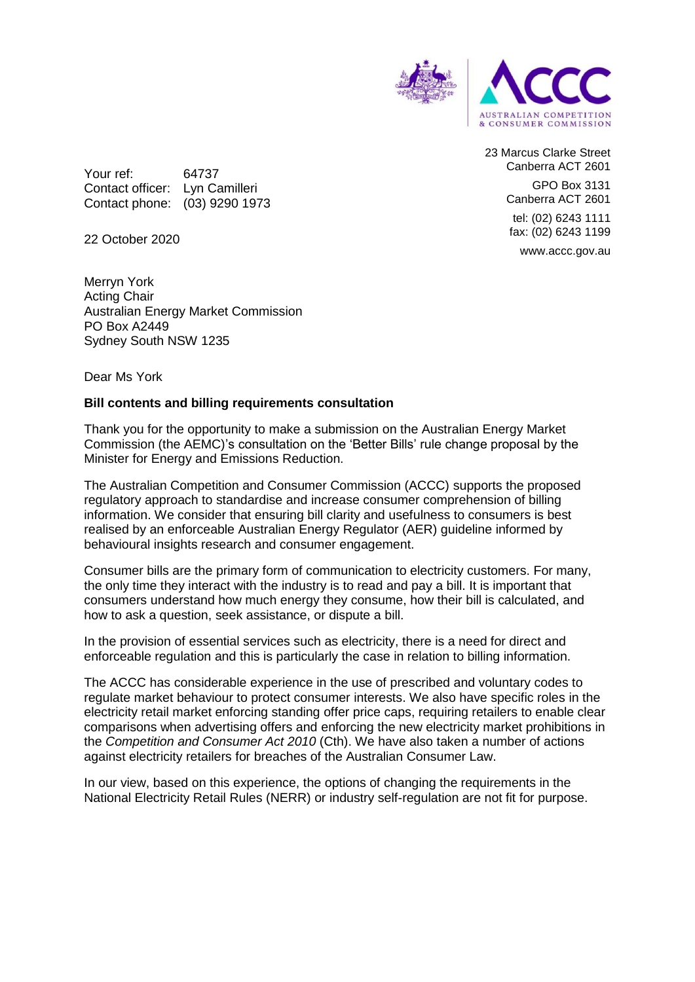

23 Marcus Clarke Street Canberra ACT 2601 GPO Box 3131 Canberra ACT 2601 tel: (02) 6243 1111 fax: (02) 6243 1199 www.accc.gov.au

Your ref: 64737 Contact officer: Lyn Camilleri Contact phone: (03) 9290 1973

22 October 2020

Merryn York Acting Chair Australian Energy Market Commission PO Box A2449 Sydney South NSW 1235

Dear Ms York

## **Bill contents and billing requirements consultation**

Thank you for the opportunity to make a submission on the Australian Energy Market Commission (the AEMC)'s consultation on the 'Better Bills' rule change proposal by the Minister for Energy and Emissions Reduction.

The Australian Competition and Consumer Commission (ACCC) supports the proposed regulatory approach to standardise and increase consumer comprehension of billing information. We consider that ensuring bill clarity and usefulness to consumers is best realised by an enforceable Australian Energy Regulator (AER) guideline informed by behavioural insights research and consumer engagement.

Consumer bills are the primary form of communication to electricity customers. For many, the only time they interact with the industry is to read and pay a bill. It is important that consumers understand how much energy they consume, how their bill is calculated, and how to ask a question, seek assistance, or dispute a bill.

In the provision of essential services such as electricity, there is a need for direct and enforceable regulation and this is particularly the case in relation to billing information.

The ACCC has considerable experience in the use of prescribed and voluntary codes to regulate market behaviour to protect consumer interests. We also have specific roles in the electricity retail market enforcing standing offer price caps, requiring retailers to enable clear comparisons when advertising offers and enforcing the new electricity market prohibitions in the *Competition and Consumer Act 2010* (Cth). We have also taken a number of actions against electricity retailers for breaches of the Australian Consumer Law.

In our view, based on this experience, the options of changing the requirements in the National Electricity Retail Rules (NERR) or industry self-regulation are not fit for purpose.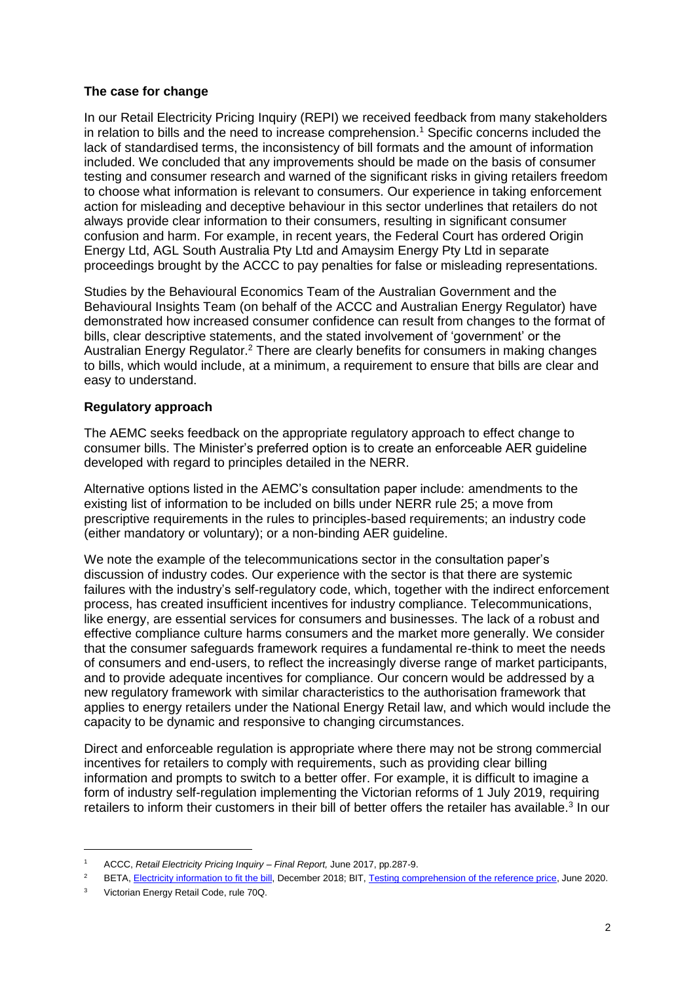## **The case for change**

In our Retail Electricity Pricing Inquiry (REPI) we received feedback from many stakeholders in relation to bills and the need to increase comprehension.<sup>1</sup> Specific concerns included the lack of standardised terms, the inconsistency of bill formats and the amount of information included. We concluded that any improvements should be made on the basis of consumer testing and consumer research and warned of the significant risks in giving retailers freedom to choose what information is relevant to consumers. Our experience in taking enforcement action for misleading and deceptive behaviour in this sector underlines that retailers do not always provide clear information to their consumers, resulting in significant consumer confusion and harm. For example, in recent years, the Federal Court has ordered Origin Energy Ltd, AGL South Australia Pty Ltd and Amaysim Energy Pty Ltd in separate proceedings brought by the ACCC to pay penalties for false or misleading representations.

Studies by the Behavioural Economics Team of the Australian Government and the Behavioural Insights Team (on behalf of the ACCC and Australian Energy Regulator) have demonstrated how increased consumer confidence can result from changes to the format of bills, clear descriptive statements, and the stated involvement of 'government' or the Australian Energy Regulator.<sup>2</sup> There are clearly benefits for consumers in making changes to bills, which would include, at a minimum, a requirement to ensure that bills are clear and easy to understand.

## **Regulatory approach**

The AEMC seeks feedback on the appropriate regulatory approach to effect change to consumer bills. The Minister's preferred option is to create an enforceable AER guideline developed with regard to principles detailed in the NERR.

Alternative options listed in the AEMC's consultation paper include: amendments to the existing list of information to be included on bills under NERR rule 25; a move from prescriptive requirements in the rules to principles-based requirements; an industry code (either mandatory or voluntary); or a non-binding AER guideline.

We note the example of the telecommunications sector in the consultation paper's discussion of industry codes. Our experience with the sector is that there are systemic failures with the industry's self-regulatory code, which, together with the indirect enforcement process, has created insufficient incentives for industry compliance. Telecommunications, like energy, are essential services for consumers and businesses. The lack of a robust and effective compliance culture harms consumers and the market more generally. We consider that the consumer safeguards framework requires a fundamental re-think to meet the needs of consumers and end-users, to reflect the increasingly diverse range of market participants, and to provide adequate incentives for compliance. Our concern would be addressed by a new regulatory framework with similar characteristics to the authorisation framework that applies to energy retailers under the National Energy Retail law, and which would include the capacity to be dynamic and responsive to changing circumstances.

Direct and enforceable regulation is appropriate where there may not be strong commercial incentives for retailers to comply with requirements, such as providing clear billing information and prompts to switch to a better offer. For example, it is difficult to imagine a form of industry self-regulation implementing the Victorian reforms of 1 July 2019, requiring retailers to inform their customers in their bill of better offers the retailer has available.<sup>3</sup> In our

-

<sup>1</sup> ACCC, *Retail Electricity Pricing Inquiry – Final Report,* June 2017, pp.287-9.

<sup>&</sup>lt;sup>2</sup> BETA[, Electricity information to fit the bill,](https://behaviouraleconomics.pmc.gov.au/sites/default/files/projects/Fit-the-bill-report_0.pdf) December 2018; BIT, [Testing comprehension of the reference price,](https://www.aer.gov.au/system/files/Testing%20Comprehension%20of%20the%20Reference%20Price.pdf) June 2020.

<sup>3</sup> Victorian Energy Retail Code, rule 70Q.